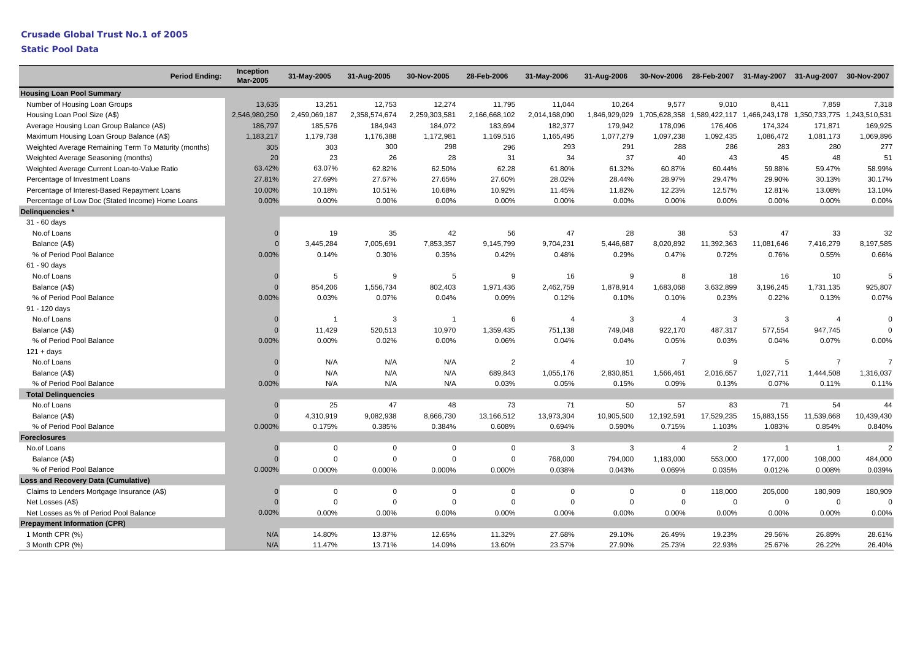|                                                      | <b>Period Ending:</b> | Inception<br><b>Mar-2005</b> | 31-May-2005   | 31-Aug-2005   | 30-Nov-2005    | 28-Feb-2006    | 31-May-2006    | 31-Aug-2006   |                |                |                | 30-Nov-2006 28-Feb-2007 31-May-2007 31-Aug-2007 30-Nov-2007 |                |
|------------------------------------------------------|-----------------------|------------------------------|---------------|---------------|----------------|----------------|----------------|---------------|----------------|----------------|----------------|-------------------------------------------------------------|----------------|
| <b>Housing Loan Pool Summary</b>                     |                       |                              |               |               |                |                |                |               |                |                |                |                                                             |                |
| Number of Housing Loan Groups                        |                       | 13,635                       | 13,251        | 12,753        | 12,274         | 11,795         | 11,044         | 10,264        | 9,577          | 9,010          | 8,411          | 7,859                                                       | 7,318          |
| Housing Loan Pool Size (A\$)                         |                       | 2,546,980,250                | 2,459,069,187 | 2,358,574,674 | 2,259,303,581  | 2,166,668,102  | 2,014,168,090  | 1,846,929,029 | 1,705,628,358  |                |                | 1,589,422,117 1,466,243,178 1,350,733,775 1,243,510,531     |                |
| Average Housing Loan Group Balance (A\$)             |                       | 186,797                      | 185,576       | 184,943       | 184,072        | 183,694        | 182,377        | 179,942       | 178,096        | 176,406        | 174,324        | 171,871                                                     | 169,925        |
| Maximum Housing Loan Group Balance (A\$)             |                       | 1,183,217                    | 1,179,738     | 1,176,388     | 1,172,981      | 1,169,516      | 1,165,495      | 1,077,279     | 1,097,238      | 1,092,435      | 1,086,472      | 1,081,173                                                   | 1,069,896      |
| Weighted Average Remaining Term To Maturity (months) |                       | 305                          | 303           | 300           | 298            | 296            | 293            | 291           | 288            | 286            | 283            | 280                                                         | 277            |
| Weighted Average Seasoning (months)                  |                       | 20                           | 23            | 26            | 28             | 31             | 34             | 37            | 40             | 43             | 45             | 48                                                          | 51             |
| Weighted Average Current Loan-to-Value Ratio         |                       | 63.42%                       | 63.07%        | 62.82%        | 62.50%         | 62.28          | 61.80%         | 61.32%        | 60.87%         | 60.44%         | 59.88%         | 59.47%                                                      | 58.99%         |
| Percentage of Investment Loans                       |                       | 27.81%                       | 27.69%        | 27.67%        | 27.65%         | 27.60%         | 28.02%         | 28.44%        | 28.97%         | 29.47%         | 29.90%         | 30.13%                                                      | 30.17%         |
| Percentage of Interest-Based Repayment Loans         |                       | 10.00%                       | 10.18%        | 10.51%        | 10.68%         | 10.92%         | 11.45%         | 11.82%        | 12.23%         | 12.57%         | 12.81%         | 13.08%                                                      | 13.10%         |
| Percentage of Low Doc (Stated Income) Home Loans     |                       | 0.00%                        | 0.00%         | 0.00%         | 0.00%          | 0.00%          | 0.00%          | 0.00%         | 0.00%          | 0.00%          | 0.00%          | 0.00%                                                       | 0.00%          |
| Delinquencies *                                      |                       |                              |               |               |                |                |                |               |                |                |                |                                                             |                |
| 31 - 60 days                                         |                       |                              |               |               |                |                |                |               |                |                |                |                                                             |                |
| No.of Loans                                          |                       |                              | 19            | 35            | 42             | 56             | 47             | 28            | 38             | 53             | 47             | 33                                                          | 32             |
| Balance (A\$)                                        |                       | $\Omega$                     | 3,445,284     | 7,005,691     | 7,853,357      | 9,145,799      | 9,704,231      | 5,446,687     | 8,020,892      | 11,392,363     | 11,081,646     | 7,416,279                                                   | 8,197,585      |
| % of Period Pool Balance                             |                       | 0.00%                        | 0.14%         | 0.30%         | 0.35%          | 0.42%          | 0.48%          | 0.29%         | 0.47%          | 0.72%          | 0.76%          | 0.55%                                                       | 0.66%          |
| 61 - 90 days                                         |                       |                              |               |               |                |                |                |               |                |                |                |                                                             |                |
| No.of Loans                                          |                       |                              | 5             | 9             | 5              | 9              | 16             | 9             | 8              | 18             | 16             | 10                                                          | 5              |
| Balance (A\$)                                        |                       | $\Omega$                     | 854,206       | 1,556,734     | 802,403        | 1,971,436      | 2,462,759      | 1,878,914     | 1,683,068      | 3,632,899      | 3,196,245      | 1,731,135                                                   | 925,807        |
| % of Period Pool Balance                             |                       | 0.00%                        | 0.03%         | 0.07%         | 0.04%          | 0.09%          | 0.12%          | 0.10%         | 0.10%          | 0.23%          | 0.22%          | 0.13%                                                       | 0.07%          |
| 91 - 120 days                                        |                       |                              |               |               |                |                |                |               |                |                |                |                                                             |                |
| No.of Loans                                          |                       | $\Omega$                     | $\mathbf{1}$  | 3             | $\overline{1}$ | 6              | $\overline{4}$ | 3             | $\overline{4}$ | 3              | 3              | $\overline{4}$                                              | $\mathbf 0$    |
| Balance (A\$)                                        |                       |                              | 11,429        | 520,513       | 10,970         | 1,359,435      | 751,138        | 749,048       | 922,170        | 487,317        | 577,554        | 947,745                                                     | $\mathbf 0$    |
| % of Period Pool Balance                             |                       | 0.00%                        | 0.00%         | 0.02%         | 0.00%          | 0.06%          | 0.04%          | 0.04%         | 0.05%          | 0.03%          | 0.04%          | 0.07%                                                       | 0.00%          |
| $121 + days$                                         |                       |                              |               |               |                |                |                |               |                |                |                |                                                             |                |
| No.of Loans                                          |                       |                              | N/A           | N/A           | N/A            | $\overline{2}$ | $\overline{4}$ | 10            | $\overline{7}$ | 9              | 5              | $\overline{7}$                                              | $\overline{7}$ |
| Balance (A\$)                                        |                       |                              | N/A           | N/A           | N/A            | 689,843        | 1,055,176      | 2,830,851     | 1,566,461      | 2,016,657      | 1,027,711      | 1,444,508                                                   | 1,316,037      |
| % of Period Pool Balance                             |                       | 0.00%                        | N/A           | N/A           | N/A            | 0.03%          | 0.05%          | 0.15%         | 0.09%          | 0.13%          | 0.07%          | 0.11%                                                       | 0.11%          |
| <b>Total Delinguencies</b>                           |                       |                              |               |               |                |                |                |               |                |                |                |                                                             |                |
| No.of Loans                                          |                       |                              | 25            | 47            | 48             | 73             | 71             | 50            | 57             | 83             | 71             | 54                                                          | 44             |
| Balance (A\$)                                        |                       | $\Omega$                     | 4,310,919     | 9,082,938     | 8,666,730      | 13,166,512     | 13,973,304     | 10,905,500    | 12,192,591     | 17,529,235     | 15,883,155     | 11,539,668                                                  | 10,439,430     |
| % of Period Pool Balance                             |                       | 0.000%                       | 0.175%        | 0.385%        | 0.384%         | 0.608%         | 0.694%         | 0.590%        | 0.715%         | 1.103%         | 1.083%         | 0.854%                                                      | 0.840%         |
| <b>Foreclosures</b>                                  |                       |                              |               |               |                |                |                |               |                |                |                |                                                             |                |
| No.of Loans                                          |                       | $\Omega$                     | 0             | $\mathbf 0$   | $\mathbf 0$    | $\mathbf 0$    | 3              | 3             | $\overline{4}$ | $\overline{2}$ | $\overline{1}$ | $\mathbf{1}$                                                | $\overline{2}$ |
| Balance (A\$)                                        |                       | $\Omega$                     | $\Omega$      | $\Omega$      | $\mathbf 0$    | $\mathbf 0$    | 768,000        | 794,000       | 1,183,000      | 553,000        | 177,000        | 108,000                                                     | 484,000        |
| % of Period Pool Balance                             |                       | 0.000%                       | 0.000%        | 0.000%        | 0.000%         | 0.000%         | 0.038%         | 0.043%        | 0.069%         | 0.035%         | 0.012%         | 0.008%                                                      | 0.039%         |
| <b>Loss and Recovery Data (Cumulative)</b>           |                       |                              |               |               |                |                |                |               |                |                |                |                                                             |                |
| Claims to Lenders Mortgage Insurance (A\$)           |                       | C                            | $\mathbf 0$   | $\Omega$      | $\mathbf 0$    | 0              | $\Omega$       | $\mathbf 0$   | $\mathbf 0$    | 118,000        | 205,000        | 180,909                                                     | 180,909        |
| Net Losses (A\$)                                     |                       | $\Omega$                     | $\Omega$      | $\Omega$      | $\mathbf 0$    | $\mathbf 0$    | $\Omega$       | $\Omega$      | $\Omega$       | $\mathbf 0$    | $\mathbf{0}$   | $\Omega$                                                    | $\mathbf 0$    |
| Net Losses as % of Period Pool Balance               |                       | 0.00%                        | 0.00%         | 0.00%         | 0.00%          | 0.00%          | 0.00%          | 0.00%         | 0.00%          | 0.00%          | 0.00%          | 0.00%                                                       | 0.00%          |
| <b>Prepayment Information (CPR)</b>                  |                       |                              |               |               |                |                |                |               |                |                |                |                                                             |                |
| 1 Month CPR (%)                                      |                       | N/A                          | 14.80%        | 13.87%        | 12.65%         | 11.32%         | 27.68%         | 29.10%        | 26.49%         | 19.23%         | 29.56%         | 26.89%                                                      | 28.61%         |
| 3 Month CPR (%)                                      |                       | N/A                          | 11.47%        | 13.71%        | 14.09%         | 13.60%         | 23.57%         | 27.90%        | 25.73%         | 22.93%         | 25.67%         | 26.22%                                                      | 26.40%         |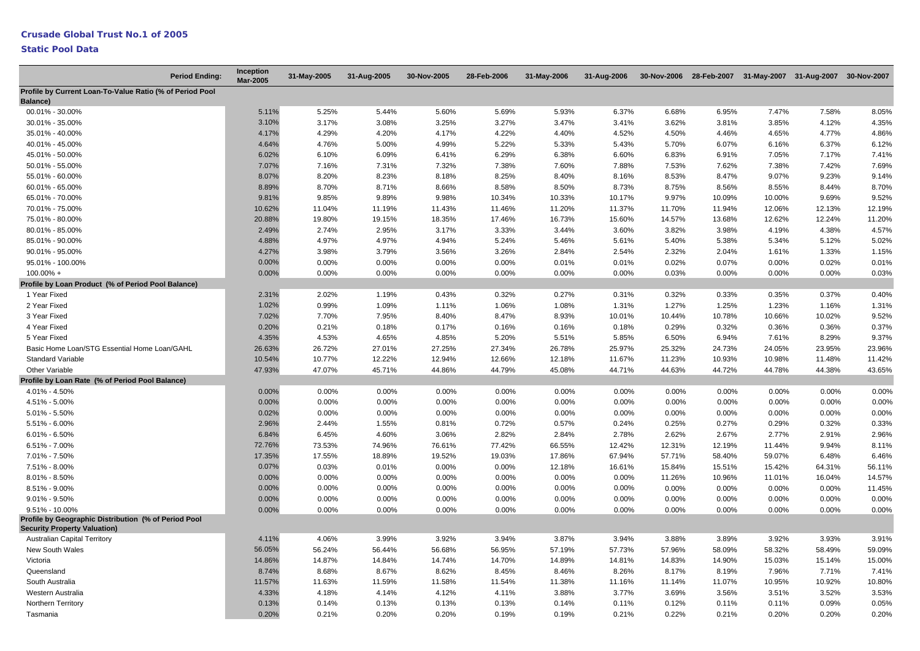| <b>Period Ending:</b>                                                                       | <b>Inception</b><br><b>Mar-2005</b> | 31-May-2005 | 31-Aug-2005 | 30-Nov-2005 | 28-Feb-2006 | 31-May-2006 | 31-Aug-2006 |        |        | 30-Nov-2006 28-Feb-2007 31-May-2007 31-Aug-2007 30-Nov-2007 |        |        |
|---------------------------------------------------------------------------------------------|-------------------------------------|-------------|-------------|-------------|-------------|-------------|-------------|--------|--------|-------------------------------------------------------------|--------|--------|
| Profile by Current Loan-To-Value Ratio (% of Period Pool<br>Balance)                        |                                     |             |             |             |             |             |             |        |        |                                                             |        |        |
| 00.01% - 30.00%                                                                             | 5.11%                               | 5.25%       | 5.44%       | 5.60%       | 5.69%       | 5.93%       | 6.37%       | 6.68%  | 6.95%  | 7.47%                                                       | 7.58%  | 8.05%  |
| 30.01% - 35.00%                                                                             | 3.10%                               | 3.17%       | 3.08%       | 3.25%       | 3.27%       | 3.47%       | 3.41%       | 3.62%  | 3.81%  | 3.85%                                                       | 4.12%  | 4.35%  |
| 35.01% - 40.00%                                                                             | 4.17%                               | 4.29%       | 4.20%       | 4.17%       | 4.22%       | 4.40%       | 4.52%       | 4.50%  | 4.46%  | 4.65%                                                       | 4.77%  | 4.86%  |
| 40.01% - 45.00%                                                                             | 4.64%                               | 4.76%       | 5.00%       | 4.99%       | 5.22%       | 5.33%       | 5.43%       | 5.70%  | 6.07%  | 6.16%                                                       | 6.37%  | 6.12%  |
| 45.01% - 50.00%                                                                             | 6.02%                               | 6.10%       | 6.09%       | 6.41%       | 6.29%       | 6.38%       | 6.60%       | 6.83%  | 6.91%  | 7.05%                                                       | 7.17%  | 7.41%  |
| 50.01% - 55.00%                                                                             | 7.07%                               | 7.16%       | 7.31%       | 7.32%       | 7.38%       | 7.60%       | 7.88%       | 7.53%  | 7.62%  | 7.38%                                                       | 7.42%  | 7.69%  |
| 55.01% - 60.00%                                                                             | 8.07%                               | 8.20%       | 8.23%       | 8.18%       | 8.25%       | 8.40%       | 8.16%       | 8.53%  | 8.47%  | 9.07%                                                       | 9.23%  | 9.14%  |
| 60.01% - 65.00%                                                                             | 8.89%                               | 8.70%       | 8.71%       | 8.66%       | 8.58%       | 8.50%       | 8.73%       | 8.75%  | 8.56%  | 8.55%                                                       | 8.44%  | 8.70%  |
| 65.01% - 70.00%                                                                             | 9.81%                               | 9.85%       | 9.89%       | 9.98%       | 10.34%      | 10.33%      | 10.17%      | 9.97%  | 10.09% | 10.00%                                                      | 9.69%  | 9.52%  |
| 70.01% - 75.00%                                                                             | 10.62%                              | 11.04%      | 11.19%      | 11.43%      | 11.46%      | 11.20%      | 11.37%      | 11.70% | 11.94% | 12.06%                                                      | 12.13% | 12.19% |
| 75.01% - 80.00%                                                                             | 20.88%                              | 19.80%      | 19.15%      | 18.35%      | 17.46%      | 16.73%      | 15.60%      | 14.57% | 13.68% | 12.62%                                                      | 12.24% | 11.20% |
| 80.01% - 85.00%                                                                             | 2.49%                               | 2.74%       | 2.95%       | 3.17%       | 3.33%       | 3.44%       | 3.60%       | 3.82%  | 3.98%  | 4.19%                                                       | 4.38%  | 4.57%  |
| 85.01% - 90.00%                                                                             | 4.88%                               | 4.97%       | 4.97%       | 4.94%       | 5.24%       | 5.46%       | 5.61%       | 5.40%  | 5.38%  | 5.34%                                                       | 5.12%  | 5.02%  |
| 90.01% - 95.00%                                                                             | 4.27%                               | 3.98%       | 3.79%       | 3.56%       | 3.26%       | 2.84%       | 2.54%       | 2.32%  | 2.04%  | 1.61%                                                       | 1.33%  | 1.15%  |
| 95.01% - 100.00%                                                                            | 0.00%                               | 0.00%       | 0.00%       | 0.00%       | 0.00%       | 0.01%       | 0.01%       | 0.02%  | 0.07%  | 0.00%                                                       | 0.02%  | 0.01%  |
| $100.00\% +$                                                                                | 0.00%                               | 0.00%       | 0.00%       | 0.00%       | 0.00%       | 0.00%       | 0.00%       | 0.03%  | 0.00%  | 0.00%                                                       | 0.00%  | 0.03%  |
| Profile by Loan Product (% of Period Pool Balance)                                          |                                     |             |             |             |             |             |             |        |        |                                                             |        |        |
| 1 Year Fixed                                                                                | 2.31%                               | 2.02%       | 1.19%       | 0.43%       | 0.32%       | 0.27%       | 0.31%       | 0.32%  | 0.33%  | 0.35%                                                       | 0.37%  | 0.40%  |
| 2 Year Fixed                                                                                | 1.02%                               | 0.99%       | 1.09%       | 1.11%       | 1.06%       | 1.08%       | 1.31%       | 1.27%  | 1.25%  | 1.23%                                                       | 1.16%  | 1.31%  |
| 3 Year Fixed                                                                                | 7.02%                               | 7.70%       | 7.95%       | 8.40%       | 8.47%       | 8.93%       | 10.01%      | 10.44% | 10.78% | 10.66%                                                      | 10.02% | 9.52%  |
| 4 Year Fixed                                                                                | 0.20%                               | 0.21%       | 0.18%       | 0.17%       | 0.16%       | 0.16%       | 0.18%       | 0.29%  | 0.32%  | 0.36%                                                       | 0.36%  | 0.37%  |
| 5 Year Fixed                                                                                | 4.35%                               | 4.53%       | 4.65%       | 4.85%       | 5.20%       | 5.51%       | 5.85%       | 6.50%  | 6.94%  | 7.61%                                                       | 8.29%  | 9.37%  |
| Basic Home Loan/STG Essential Home Loan/GAHL                                                | 26.63%                              | 26.72%      | 27.01%      | 27.25%      | 27.34%      | 26.78%      | 25.97%      | 25.32% | 24.73% | 24.05%                                                      | 23.95% | 23.96% |
| <b>Standard Variable</b>                                                                    | 10.54%                              | 10.77%      | 12.22%      | 12.94%      | 12.66%      | 12.18%      | 11.67%      | 11.23% | 10.93% | 10.98%                                                      | 11.48% | 11.42% |
| Other Variable                                                                              | 47.93%                              | 47.07%      | 45.71%      | 44.86%      | 44.79%      | 45.08%      | 44.71%      | 44.63% | 44.72% | 44.78%                                                      | 44.38% | 43.65% |
| Profile by Loan Rate (% of Period Pool Balance)                                             |                                     |             |             |             |             |             |             |        |        |                                                             |        |        |
| 4.01% - 4.50%                                                                               | 0.00%                               | 0.00%       | 0.00%       | 0.00%       | 0.00%       | 0.00%       | 0.00%       | 0.00%  | 0.00%  | 0.00%                                                       | 0.00%  | 0.00%  |
| 4.51% - 5.00%                                                                               | 0.00%                               | 0.00%       | 0.00%       | 0.00%       | 0.00%       | 0.00%       | 0.00%       | 0.00%  | 0.00%  | 0.00%                                                       | 0.00%  | 0.00%  |
| $5.01\% - 5.50\%$                                                                           | 0.02%                               | 0.00%       | 0.00%       | 0.00%       | 0.00%       | 0.00%       | 0.00%       | 0.00%  | 0.00%  | 0.00%                                                       | 0.00%  | 0.00%  |
| 5.51% - 6.00%                                                                               | 2.96%                               | 2.44%       | 1.55%       | 0.81%       | 0.72%       | 0.57%       | 0.24%       | 0.25%  | 0.27%  | 0.29%                                                       | 0.32%  | 0.33%  |
| $6.01\% - 6.50\%$                                                                           | 6.84%                               | 6.45%       | 4.60%       | 3.06%       | 2.82%       | 2.84%       | 2.78%       | 2.62%  | 2.67%  | 2.77%                                                       | 2.91%  | 2.96%  |
| $6.51\% - 7.00\%$                                                                           | 72.76%                              | 73.53%      | 74.96%      | 76.61%      | 77.42%      | 66.55%      | 12.42%      | 12.31% | 12.19% | 11.44%                                                      | 9.94%  | 8.11%  |
| 7.01% - 7.50%                                                                               | 17.35%                              | 17.55%      | 18.89%      | 19.52%      | 19.03%      | 17.86%      | 67.94%      | 57.71% | 58.40% | 59.07%                                                      | 6.48%  | 6.46%  |
| 7.51% - 8.00%                                                                               | 0.07%                               | 0.03%       | 0.01%       | 0.00%       | 0.00%       | 12.18%      | 16.61%      | 15.84% | 15.51% | 15.42%                                                      | 64.31% | 56.11% |
| $8.01\% - 8.50\%$                                                                           | 0.00%                               | 0.00%       | 0.00%       | 0.00%       | 0.00%       | 0.00%       | 0.00%       | 11.26% | 10.96% | 11.01%                                                      | 16.04% | 14.57% |
| 8.51% - 9.00%                                                                               | 0.00%                               | 0.00%       | 0.00%       | 0.00%       | 0.00%       | 0.00%       | 0.00%       | 0.00%  | 0.00%  | 0.00%                                                       | 0.00%  | 11.45% |
| $9.01\% - 9.50\%$                                                                           | 0.00%                               | 0.00%       | 0.00%       | 0.00%       | 0.00%       | 0.00%       | 0.00%       | 0.00%  | 0.00%  | 0.00%                                                       | 0.00%  | 0.00%  |
| $9.51\% - 10.00\%$                                                                          | 0.00%                               | 0.00%       | 0.00%       | 0.00%       | 0.00%       | 0.00%       | 0.00%       | 0.00%  | 0.00%  | 0.00%                                                       | 0.00%  | 0.00%  |
| Profile by Geographic Distribution (% of Period Pool<br><b>Security Property Valuation)</b> |                                     |             |             |             |             |             |             |        |        |                                                             |        |        |
| <b>Australian Capital Territory</b>                                                         | 4.11%                               | 4.06%       | 3.99%       | 3.92%       | 3.94%       | 3.87%       | 3.94%       | 3.88%  | 3.89%  | 3.92%                                                       | 3.93%  | 3.91%  |
| New South Wales                                                                             | 56.05%                              | 56.24%      | 56.44%      | 56.68%      | 56.95%      | 57.19%      | 57.73%      | 57.96% | 58.09% | 58.32%                                                      | 58.49% | 59.09% |
| Victoria                                                                                    | 14.86%                              | 14.87%      | 14.84%      | 14.74%      | 14.70%      | 14.89%      | 14.81%      | 14.83% | 14.90% | 15.03%                                                      | 15.14% | 15.00% |
| Queensland                                                                                  | 8.74%                               | 8.68%       | 8.67%       | 8.62%       | 8.45%       | 8.46%       | 8.26%       | 8.17%  | 8.19%  | 7.96%                                                       | 7.71%  | 7.41%  |
| South Australia                                                                             | 11.57%                              | 11.63%      | 11.59%      | 11.58%      | 11.54%      | 11.38%      | 11.16%      | 11.14% | 11.07% | 10.95%                                                      | 10.92% | 10.80% |
| Western Australia                                                                           | 4.33%                               | 4.18%       | 4.14%       | 4.12%       | 4.11%       | 3.88%       | 3.77%       | 3.69%  | 3.56%  | 3.51%                                                       | 3.52%  | 3.53%  |
| Northern Territory                                                                          | 0.13%                               | 0.14%       | 0.13%       | 0.13%       | 0.13%       | 0.14%       | 0.11%       | 0.12%  | 0.11%  | 0.11%                                                       | 0.09%  | 0.05%  |
| Tasmania                                                                                    | 0.20%                               | 0.21%       | 0.20%       | 0.20%       | 0.19%       | 0.19%       | 0.21%       | 0.22%  | 0.21%  | 0.20%                                                       | 0.20%  | 0.20%  |
|                                                                                             |                                     |             |             |             |             |             |             |        |        |                                                             |        |        |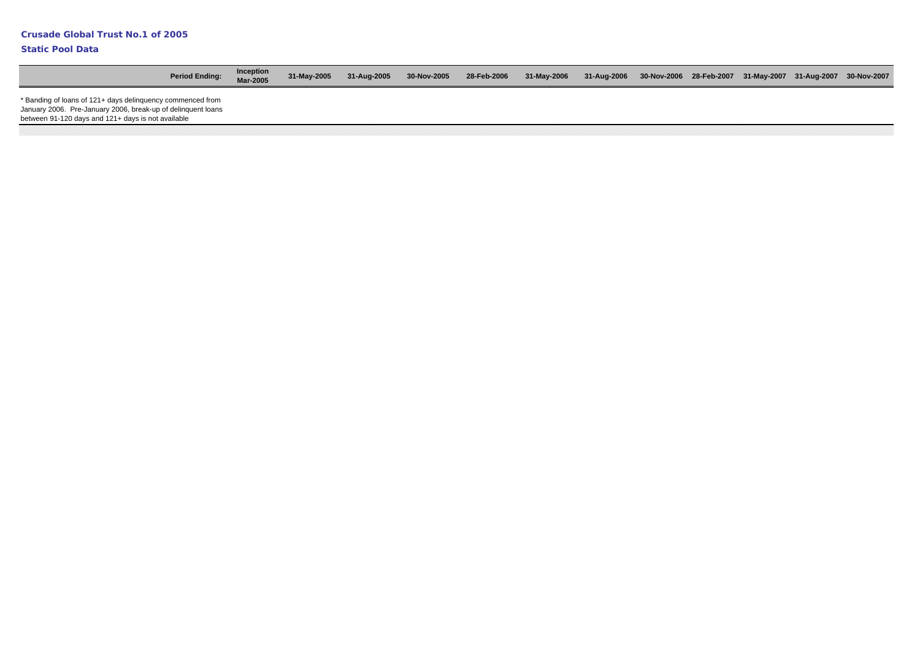| <b>Period Ending:</b>                                                                                                                                                            | Inception<br>Mar-2005 | 31-May-2005 | 31-Aug-2005 | 30-Nov-2005 | 28-Feb-2006 | 31-May-2006 | 31-Aug-2006 30-Nov-2006 28-Feb-2007 31-May-2007 31-Aug-2007 30-Nov-2007 |  |  |  |
|----------------------------------------------------------------------------------------------------------------------------------------------------------------------------------|-----------------------|-------------|-------------|-------------|-------------|-------------|-------------------------------------------------------------------------|--|--|--|
| * Banding of loans of 121+ days delinquency commenced from<br>January 2006. Pre-January 2006, break-up of delinquent loans<br>between 91-120 days and 121+ days is not available |                       |             |             |             |             |             |                                                                         |  |  |  |
|                                                                                                                                                                                  |                       |             |             |             |             |             |                                                                         |  |  |  |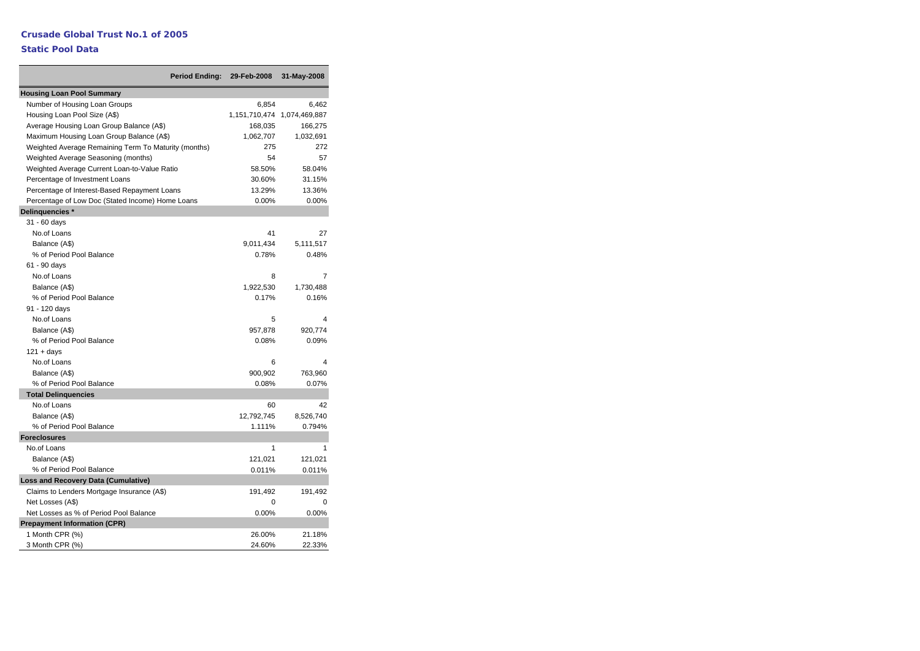|                                                      | <b>Period Ending:</b> | 29-Feb-2008   | 31-May-2008   |
|------------------------------------------------------|-----------------------|---------------|---------------|
| <b>Housing Loan Pool Summary</b>                     |                       |               |               |
| Number of Housing Loan Groups                        |                       | 6,854         | 6,462         |
| Housing Loan Pool Size (A\$)                         |                       | 1,151,710,474 | 1,074,469,887 |
| Average Housing Loan Group Balance (A\$)             |                       | 168,035       | 166,275       |
| Maximum Housing Loan Group Balance (A\$)             |                       | 1,062,707     | 1,032,691     |
| Weighted Average Remaining Term To Maturity (months) |                       | 275           | 272           |
| Weighted Average Seasoning (months)                  |                       | 54            | 57            |
| Weighted Average Current Loan-to-Value Ratio         |                       | 58.50%        | 58.04%        |
| Percentage of Investment Loans                       |                       | 30.60%        | 31.15%        |
| Percentage of Interest-Based Repayment Loans         |                       | 13.29%        | 13.36%        |
| Percentage of Low Doc (Stated Income) Home Loans     |                       | 0.00%         | $0.00\%$      |
| Delinquencies *                                      |                       |               |               |
| 31 - 60 days                                         |                       |               |               |
| No.of Loans                                          |                       | 41            | 27            |
| Balance (A\$)                                        |                       | 9,011,434     | 5,111,517     |
| % of Period Pool Balance                             |                       | 0.78%         | 0.48%         |
| 61 - 90 days                                         |                       |               |               |
| No.of Loans                                          |                       | 8             | 7             |
| Balance (A\$)                                        |                       | 1,922,530     | 1,730,488     |
| % of Period Pool Balance                             |                       | 0.17%         | 0.16%         |
| 91 - 120 days                                        |                       |               |               |
| No.of Loans                                          |                       | 5             | 4             |
| Balance (A\$)                                        |                       | 957,878       | 920,774       |
| % of Period Pool Balance                             |                       | 0.08%         | 0.09%         |
| $121 + days$                                         |                       |               |               |
| No.of Loans                                          |                       | 6             | 4             |
| Balance (A\$)                                        |                       | 900,902       | 763,960       |
| % of Period Pool Balance                             |                       | 0.08%         | 0.07%         |
| <b>Total Delinquencies</b>                           |                       |               |               |
| No.of Loans                                          |                       | 60            | 42            |
| Balance (A\$)                                        |                       | 12,792,745    | 8,526,740     |
| % of Period Pool Balance                             |                       | 1.111%        | 0.794%        |
| <b>Foreclosures</b>                                  |                       |               |               |
| No.of Loans                                          |                       | 1             | 1             |
| Balance (A\$)                                        |                       | 121,021       | 121,021       |
| % of Period Pool Balance                             |                       | 0.011%        | 0.011%        |
| <b>Loss and Recovery Data (Cumulative)</b>           |                       |               |               |
| Claims to Lenders Mortgage Insurance (A\$)           |                       | 191,492       | 191,492       |
| Net Losses (A\$)                                     |                       | 0             | 0             |
| Net Losses as % of Period Pool Balance               |                       | 0.00%         | 0.00%         |
| <b>Prepayment Information (CPR)</b>                  |                       |               |               |
| 1 Month CPR (%)                                      |                       | 26.00%        | 21.18%        |
| 3 Month CPR (%)                                      |                       | 24.60%        | 22.33%        |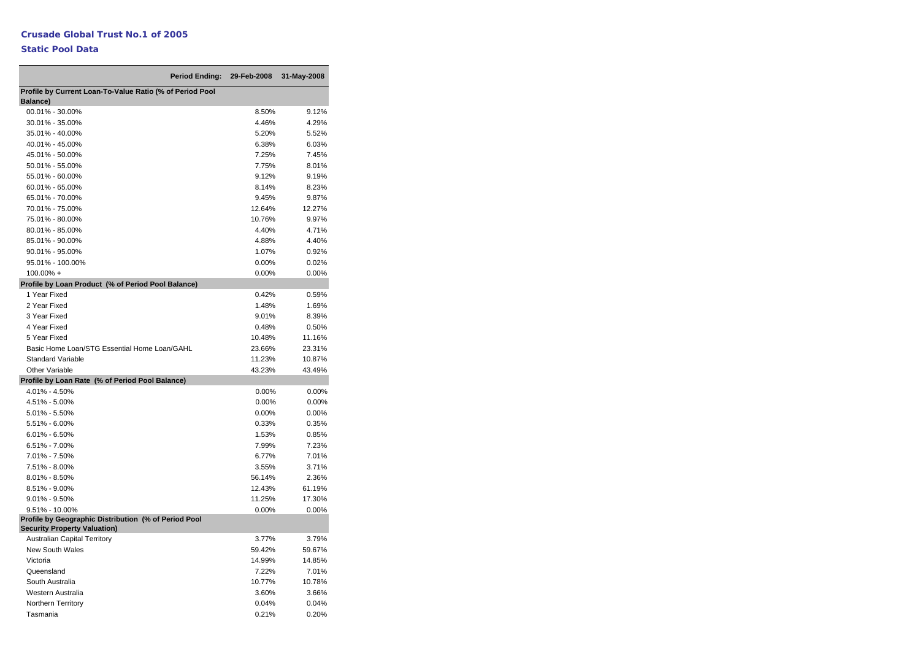#### **Static Pool Data**

÷

| <b>Period Ending:</b>                                    | 29-Feb-2008 | 31-May-2008 |
|----------------------------------------------------------|-------------|-------------|
| Profile by Current Loan-To-Value Ratio (% of Period Pool |             |             |
| Balance)                                                 |             |             |
| 00.01% - 30.00%                                          | 8.50%       | 9.12%       |
| 30.01% - 35.00%                                          | 4.46%       | 4.29%       |
| 35.01% - 40.00%                                          | 5.20%       | 5.52%       |
| 40.01% - 45.00%                                          | 6.38%       | 6.03%       |
| 45.01% - 50.00%                                          | 7.25%       | 7.45%       |
| 50.01% - 55.00%                                          | 7.75%       | 8.01%       |
| 55.01% - 60.00%                                          | 9.12%       | 9.19%       |
| 60.01% - 65.00%                                          | 8.14%       | 8.23%       |
| 65.01% - 70.00%                                          | 9.45%       | 9.87%       |
| 70.01% - 75.00%                                          | 12.64%      | 12.27%      |
| 75.01% - 80.00%                                          | 10.76%      | 9.97%       |
| 80.01% - 85.00%                                          | 4.40%       | 4.71%       |
| 85.01% - 90.00%                                          | 4.88%       | 4.40%       |
| 90.01% - 95.00%                                          | 1.07%       | 0.92%       |
| 95.01% - 100.00%                                         | 0.00%       | 0.02%       |
| 100.00% +                                                | 0.00%       | 0.00%       |
| Profile by Loan Product (% of Period Pool Balance)       |             |             |
| 1 Year Fixed                                             | 0.42%       | 0.59%       |
| 2 Year Fixed                                             | 1.48%       | 1.69%       |
| 3 Year Fixed                                             | 9.01%       | 8.39%       |
| 4 Year Fixed                                             | 0.48%       | 0.50%       |
| 5 Year Fixed                                             | 10.48%      | 11.16%      |
| Basic Home Loan/STG Essential Home Loan/GAHL             | 23.66%      | 23.31%      |
| <b>Standard Variable</b>                                 | 11.23%      | 10.87%      |
| <b>Other Variable</b>                                    | 43.23%      | 43.49%      |
| Profile by Loan Rate (% of Period Pool Balance)          |             |             |
| 4.01% - 4.50%                                            | 0.00%       | 0.00%       |
| 4.51% - 5.00%                                            | 0.00%       | 0.00%       |
| $5.01\% - 5.50\%$                                        | 0.00%       | 0.00%       |
| $5.51\% - 6.00\%$                                        | 0.33%       | 0.35%       |
| $6.01\% - 6.50\%$                                        | 1.53%       | 0.85%       |
| $6.51\% - 7.00\%$                                        | 7.99%       | 7.23%       |
| 7.01% - 7.50%                                            | 6.77%       | 7.01%       |
| 7.51% - 8.00%                                            | 3.55%       | 3.71%       |
| $8.01\% - 8.50\%$                                        | 56.14%      | 2.36%       |
| 8.51% - 9.00%                                            | 12.43%      | 61.19%      |
| $9.01\% - 9.50\%$                                        | 11.25%      | 17.30%      |
| $9.51\% - 10.00\%$                                       | 0.00%       | 0.00%       |
| Profile by Geographic Distribution (% of Period Pool     |             |             |
| <b>Security Property Valuation)</b>                      |             |             |
| <b>Australian Capital Territory</b>                      | 3.77%       | 3.79%       |
| <b>New South Wales</b>                                   | 59.42%      | 59.67%      |
| Victoria                                                 | 14.99%      | 14.85%      |
| Queensland                                               | 7.22%       | 7.01%       |
| South Australia                                          | 10.77%      | 10.78%      |
| Western Australia                                        | 3.60%       | 3.66%       |
| <b>Northern Territory</b>                                | 0.04%       | 0.04%       |
| Tasmania                                                 | 0.21%       | 0.20%       |

-